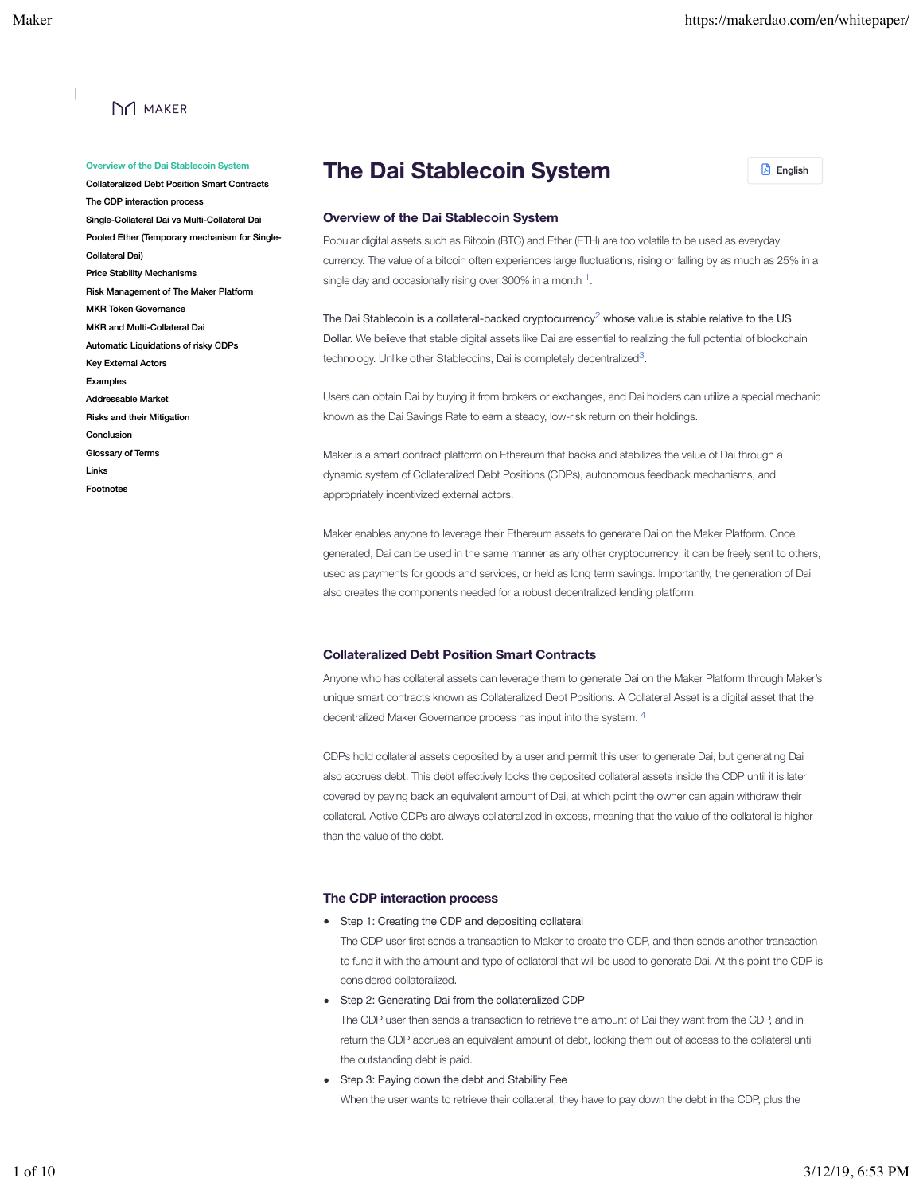## **DO MAKER**

#### **Overview of the Dai Stablecoin System**

Collateralized Debt Position Smart Contracts The CDP interaction process Single-Collateral Dai vs Multi-Collateral Dai Pooled Ether (Temporary mechanism for Single-Collateral Dai) Price Stability Mechanisms Risk Management of The Maker Platform MKR Token Governance MKR and Multi-Collateral Dai Automatic Liquidations of risky CDPs Key External Actors Examples Addressable Market Risks and their Mitigation Conclusion Glossary of Terms Links Footnotes

# **The Dai Stablecoin System** English



#### **Overview of the Dai Stablecoin System**

Popular digital assets such as Bitcoin (BTC) and Ether (ETH) are too volatile to be used as everyday currency. The value of a bitcoin often experiences large fluctuations, rising or falling by as much as 25% in a single day and occasionally rising over 300% in a month <sup>1</sup>.

The Dai Stablecoin is a collateral-backed cryptocurrency<sup>2</sup> whose value is stable relative to the US Dollar. We believe that stable digital assets like Dai are essential to realizing the full potential of blockchain technology. Unlike other Stablecoins, Dai is completely decentralized<sup>3</sup>.

Users can obtain Dai by buying it from brokers or exchanges, and Dai holders can utilize a special mechanic known as the Dai Savings Rate to earn a steady, low-risk return on their holdings.

Maker is a smart contract platform on Ethereum that backs and stabilizes the value of Dai through a dynamic system of Collateralized Debt Positions (CDPs), autonomous feedback mechanisms, and appropriately incentivized external actors.

Maker enables anyone to leverage their Ethereum assets to generate Dai on the Maker Platform. Once generated, Dai can be used in the same manner as any other cryptocurrency: it can be freely sent to others, used as payments for goods and services, or held as long term savings. Importantly, the generation of Dai also creates the components needed for a robust decentralized lending platform.

## **Collateralized Debt Position Smart Contracts**

Anyone who has collateral assets can leverage them to generate Dai on the Maker Platform through Maker's unique smart contracts known as Collateralized Debt Positions. A Collateral Asset is a digital asset that the decentralized Maker Governance process has input into the system. 4

CDPs hold collateral assets deposited by a user and permit this user to generate Dai, but generating Dai also accrues debt. This debt effectively locks the deposited collateral assets inside the CDP until it is later covered by paying back an equivalent amount of Dai, at which point the owner can again withdraw their collateral. Active CDPs are always collateralized in excess, meaning that the value of the collateral is higher than the value of the debt.

### **The CDP interaction process**

• Step 1: Creating the CDP and depositing collateral

The CDP user first sends a transaction to Maker to create the CDP, and then sends another transaction to fund it with the amount and type of collateral that will be used to generate Dai. At this point the CDP is considered collateralized.

Step 2: Generating Dai from the collateralized CDP

The CDP user then sends a transaction to retrieve the amount of Dai they want from the CDP, and in return the CDP accrues an equivalent amount of debt, locking them out of access to the collateral until the outstanding debt is paid.

Step 3: Paying down the debt and Stability Fee

When the user wants to retrieve their collateral, they have to pay down the debt in the CDP, plus the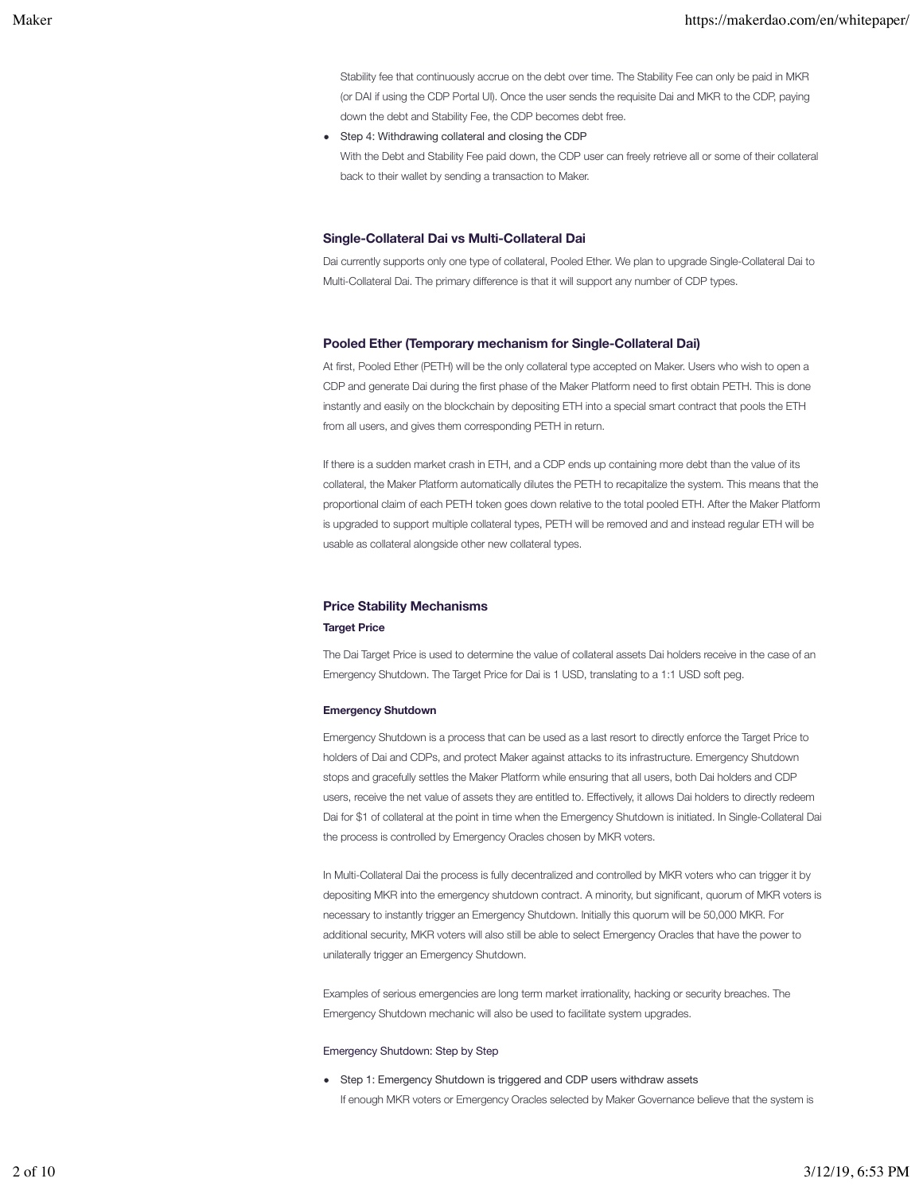Stability fee that continuously accrue on the debt over time. The Stability Fee can only be paid in MKR (or DAI if using the CDP Portal UI). Once the user sends the requisite Dai and MKR to the CDP, paying down the debt and Stability Fee, the CDP becomes debt free.

Step 4: Withdrawing collateral and closing the CDP With the Debt and Stability Fee paid down, the CDP user can freely retrieve all or some of their collateral back to their wallet by sending a transaction to Maker.

## **Single-Collateral Dai vs Multi-Collateral Dai**

Dai currently supports only one type of collateral, Pooled Ether. We plan to upgrade Single-Collateral Dai to Multi-Collateral Dai. The primary difference is that it will support any number of CDP types.

## **Pooled Ether (Temporary mechanism for Single-Collateral Dai)**

At first, Pooled Ether (PETH) will be the only collateral type accepted on Maker. Users who wish to open a CDP and generate Dai during the first phase of the Maker Platform need to first obtain PETH. This is done instantly and easily on the blockchain by depositing ETH into a special smart contract that pools the ETH from all users, and gives them corresponding PETH in return.

If there is a sudden market crash in ETH, and a CDP ends up containing more debt than the value of its collateral, the Maker Platform automatically dilutes the PETH to recapitalize the system. This means that the proportional claim of each PETH token goes down relative to the total pooled ETH. After the Maker Platform is upgraded to support multiple collateral types, PETH will be removed and and instead regular ETH will be usable as collateral alongside other new collateral types.

## **Price Stability Mechanisms**

## **Target Price**

The Dai Target Price is used to determine the value of collateral assets Dai holders receive in the case of an Emergency Shutdown. The Target Price for Dai is 1 USD, translating to a 1:1 USD soft peg.

## **Emergency Shutdown**

Emergency Shutdown is a process that can be used as a last resort to directly enforce the Target Price to holders of Dai and CDPs, and protect Maker against attacks to its infrastructure. Emergency Shutdown stops and gracefully settles the Maker Platform while ensuring that all users, both Dai holders and CDP users, receive the net value of assets they are entitled to. Effectively, it allows Dai holders to directly redeem Dai for \$1 of collateral at the point in time when the Emergency Shutdown is initiated. In Single-Collateral Dai the process is controlled by Emergency Oracles chosen by MKR voters.

In Multi-Collateral Dai the process is fully decentralized and controlled by MKR voters who can trigger it by depositing MKR into the emergency shutdown contract. A minority, but significant, quorum of MKR voters is necessary to instantly trigger an Emergency Shutdown. Initially this quorum will be 50,000 MKR. For additional security, MKR voters will also still be able to select Emergency Oracles that have the power to unilaterally trigger an Emergency Shutdown.

Examples of serious emergencies are long term market irrationality, hacking or security breaches. The Emergency Shutdown mechanic will also be used to facilitate system upgrades.

## Emergency Shutdown: Step by Step

• Step 1: Emergency Shutdown is triggered and CDP users withdraw assets If enough MKR voters or Emergency Oracles selected by Maker Governance believe that the system is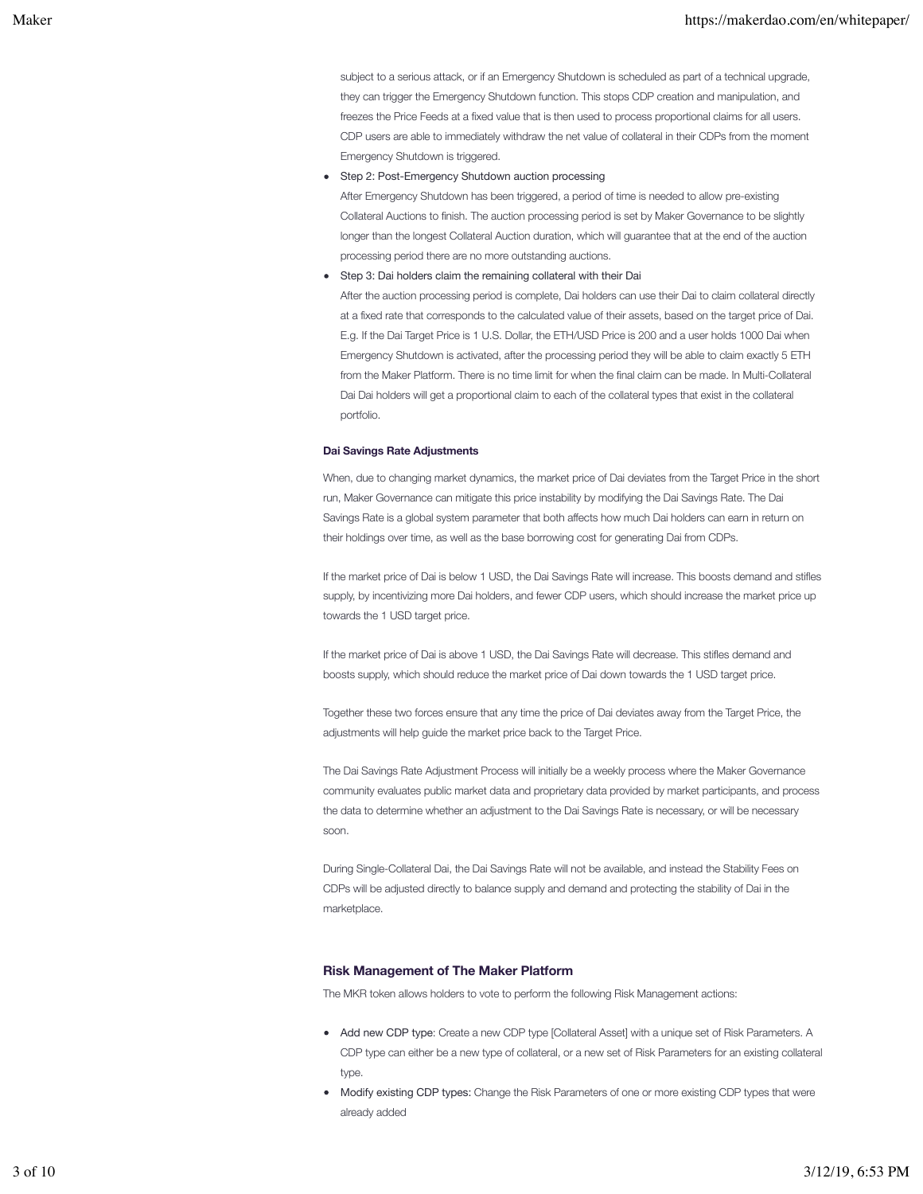subject to a serious attack, or if an Emergency Shutdown is scheduled as part of a technical upgrade, they can trigger the Emergency Shutdown function. This stops CDP creation and manipulation, and freezes the Price Feeds at a fixed value that is then used to process proportional claims for all users. CDP users are able to immediately withdraw the net value of collateral in their CDPs from the moment Emergency Shutdown is triggered.

Step 2: Post-Emergency Shutdown auction processing

After Emergency Shutdown has been triggered, a period of time is needed to allow pre-existing Collateral Auctions to finish. The auction processing period is set by Maker Governance to be slightly longer than the longest Collateral Auction duration, which will guarantee that at the end of the auction processing period there are no more outstanding auctions.

Step 3: Dai holders claim the remaining collateral with their Dai

After the auction processing period is complete, Dai holders can use their Dai to claim collateral directly at a fixed rate that corresponds to the calculated value of their assets, based on the target price of Dai. E.g. If the Dai Target Price is 1 U.S. Dollar, the ETH/USD Price is 200 and a user holds 1000 Dai when Emergency Shutdown is activated, after the processing period they will be able to claim exactly 5 ETH from the Maker Platform. There is no time limit for when the final claim can be made. In Multi-Collateral Dai Dai holders will get a proportional claim to each of the collateral types that exist in the collateral portfolio.

### **Dai Savings Rate Adjustments**

When, due to changing market dynamics, the market price of Dai deviates from the Target Price in the short run, Maker Governance can mitigate this price instability by modifying the Dai Savings Rate. The Dai Savings Rate is a global system parameter that both affects how much Dai holders can earn in return on their holdings over time, as well as the base borrowing cost for generating Dai from CDPs.

If the market price of Dai is below 1 USD, the Dai Savings Rate will increase. This boosts demand and stifles supply, by incentivizing more Dai holders, and fewer CDP users, which should increase the market price up towards the 1 USD target price.

If the market price of Dai is above 1 USD, the Dai Savings Rate will decrease. This stifles demand and boosts supply, which should reduce the market price of Dai down towards the 1 USD target price.

Together these two forces ensure that any time the price of Dai deviates away from the Target Price, the adjustments will help guide the market price back to the Target Price.

The Dai Savings Rate Adjustment Process will initially be a weekly process where the Maker Governance community evaluates public market data and proprietary data provided by market participants, and process the data to determine whether an adjustment to the Dai Savings Rate is necessary, or will be necessary soon.

During Single-Collateral Dai, the Dai Savings Rate will not be available, and instead the Stability Fees on CDPs will be adjusted directly to balance supply and demand and protecting the stability of Dai in the marketplace

## **Risk Management of The Maker Platform**

The MKR token allows holders to vote to perform the following Risk Management actions:

- Add new CDP type: Create a new CDP type [Collateral Asset] with a unique set of Risk Parameters. A CDP type can either be a new type of collateral, or a new set of Risk Parameters for an existing collateral type.
- Modify existing CDP types: Change the Risk Parameters of one or more existing CDP types that were already added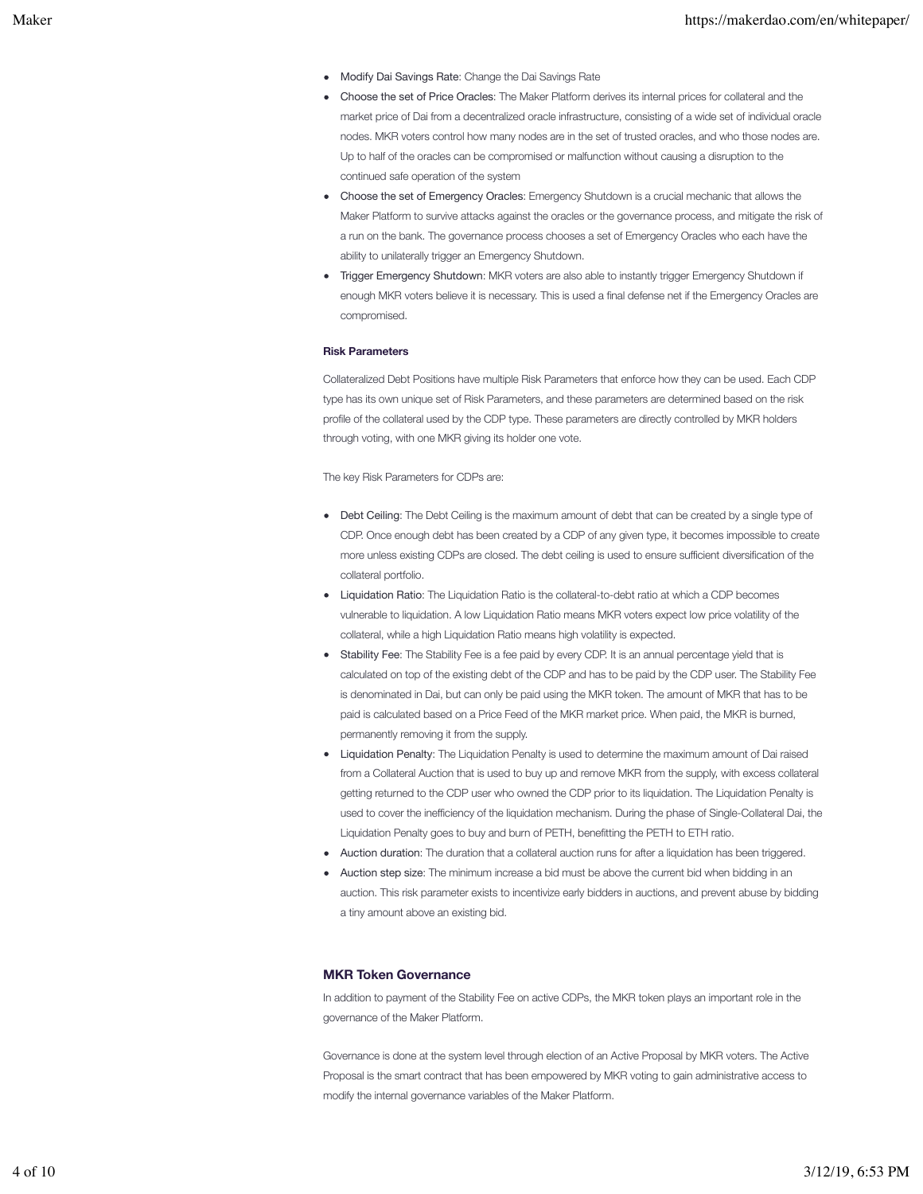- **Modify Dai Savings Rate: Change the Dai Savings Rate**
- Choose the set of Price Oracles: The Maker Platform derives its internal prices for collateral and the market price of Dai from a decentralized oracle infrastructure, consisting of a wide set of individual oracle nodes. MKR voters control how many nodes are in the set of trusted oracles, and who those nodes are. Up to half of the oracles can be compromised or malfunction without causing a disruption to the continued safe operation of the system
- Choose the set of Emergency Oracles: Emergency Shutdown is a crucial mechanic that allows the Maker Platform to survive attacks against the oracles or the governance process, and mitigate the risk of a run on the bank. The governance process chooses a set of Emergency Oracles who each have the ability to unilaterally trigger an Emergency Shutdown.
- Trigger Emergency Shutdown: MKR voters are also able to instantly trigger Emergency Shutdown if enough MKR voters believe it is necessary. This is used a final defense net if the Emergency Oracles are compromised.

#### **Risk Parameters**

Collateralized Debt Positions have multiple Risk Parameters that enforce how they can be used. Each CDP type has its own unique set of Risk Parameters, and these parameters are determined based on the risk profile of the collateral used by the CDP type. These parameters are directly controlled by MKR holders through voting, with one MKR giving its holder one vote.

The key Risk Parameters for CDPs are:

- Debt Ceiling: The Debt Ceiling is the maximum amount of debt that can be created by a single type of CDP. Once enough debt has been created by a CDP of any given type, it becomes impossible to create more unless existing CDPs are closed. The debt ceiling is used to ensure sufficient diversification of the collateral portfolio.
- Liquidation Ratio: The Liquidation Ratio is the collateral-to-debt ratio at which a CDP becomes vulnerable to liquidation. A low Liquidation Ratio means MKR voters expect low price volatility of the collateral, while a high Liquidation Ratio means high volatility is expected.
- Stability Fee: The Stability Fee is a fee paid by every CDP. It is an annual percentage yield that is calculated on top of the existing debt of the CDP and has to be paid by the CDP user. The Stability Fee is denominated in Dai, but can only be paid using the MKR token. The amount of MKR that has to be paid is calculated based on a Price Feed of the MKR market price. When paid, the MKR is burned, permanently removing it from the supply.
- Liquidation Penalty: The Liquidation Penalty is used to determine the maximum amount of Dai raised from a Collateral Auction that is used to buy up and remove MKR from the supply, with excess collateral getting returned to the CDP user who owned the CDP prior to its liquidation. The Liquidation Penalty is used to cover the inefficiency of the liquidation mechanism. During the phase of Single-Collateral Dai, the Liquidation Penalty goes to buy and burn of PETH, benefitting the PETH to ETH ratio.
- Auction duration: The duration that a collateral auction runs for after a liquidation has been triggered.
- Auction step size: The minimum increase a bid must be above the current bid when bidding in an auction. This risk parameter exists to incentivize early bidders in auctions, and prevent abuse by bidding a tiny amount above an existing bid.

#### **MKR Token Governance**

In addition to payment of the Stability Fee on active CDPs, the MKR token plays an important role in the governance of the Maker Platform.

Governance is done at the system level through election of an Active Proposal by MKR voters. The Active Proposal is the smart contract that has been empowered by MKR voting to gain administrative access to modify the internal governance variables of the Maker Platform.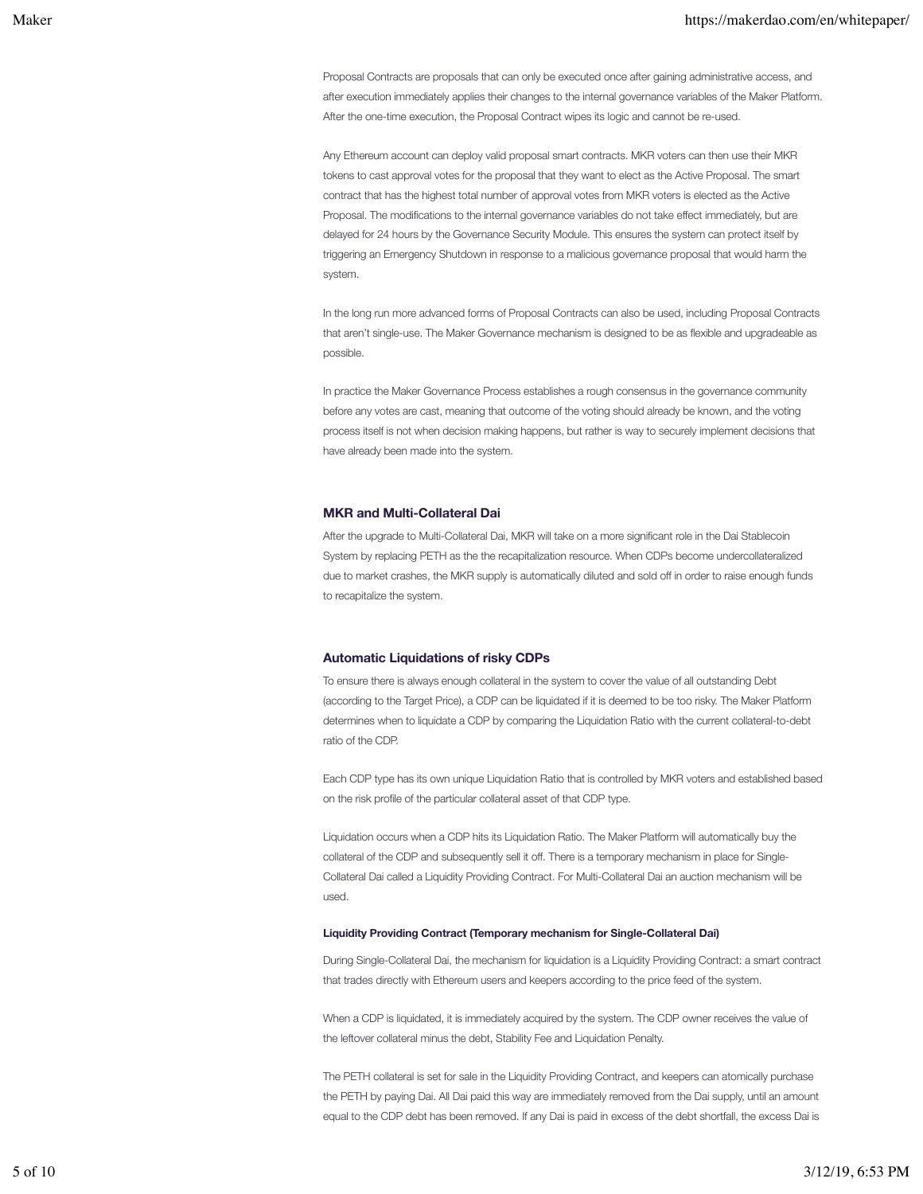Proposal Contracts are proposals that can only be executed once after gaining administrative access, and after execution immediately applies their changes to the internal governance variables of the Maker Platform. After the one-time execution, the Proposal Contract wipes its logic and cannot be re-used.

Any Ethereum account can deploy valid proposal smart contracts. MKR voters can then use their MKR tokens to cast approval votes for the proposal that they want to elect as the Active Proposal. The smart contract that has the highest total number of approval votes from MKR voters is elected as the Active Proposal. The modifications to the internal governance variables do not take effect immediately, but are delayed for 24 hours by the Governance Security Module. This ensures the system can protect itself by triggering an Emergency Shutdown in response to a malicious governance proposal that would harm the system.

In the long run more advanced forms of Proposal Contracts can also be used, including Proposal Contracts that aren't single-use. The Maker Governance mechanism is designed to be as flexible and upgradeable as possible.

In practice the Maker Governance Process establishes a rough consensus in the governance community before any votes are cast, meaning that outcome of the voting should already be known, and the voting process itself is not when decision making happens, but rather is way to securely implement decisions that have already been made into the system.

## **MKR and Multi-Collateral Dai**

After the upgrade to Multi-Collateral Dai, MKR will take on a more significant role in the Dai Stablecoin System by replacing PETH as the the recapitalization resource. When CDPs become undercollateralized due to market crashes, the MKR supply is automatically diluted and sold off in order to raise enough funds to recapitalize the system.

#### **Automatic Liquidations of risky CDPs**

To ensure there is always enough collateral in the system to cover the value of all outstanding Debt (according to the Target Price), a CDP can be liquidated if it is deemed to be too risky. The Maker Platform determines when to liquidate a CDP by comparing the Liquidation Ratio with the current collateral-to-debt ratio of the CDP.

Each CDP type has its own unique Liquidation Ratio that is controlled by MKR voters and established based on the risk profile of the particular collateral asset of that CDP type.

Liquidation occurs when a CDP hits its Liquidation Ratio. The Maker Platform will automatically buy the collateral of the CDP and subsequently sell it off. There is a temporary mechanism in place for Single-Collateral Dai called a Liquidity Providing Contract. For Multi-Collateral Dai an auction mechanism will be used.

#### **Liquidity Providing Contract (Temporary mechanism for Single-Collateral Dai)**

During Single-Collateral Dai, the mechanism for liquidation is a Liquidity Providing Contract: a smart contract that trades directly with Ethereum users and keepers according to the price feed of the system.

When a CDP is liquidated, it is immediately acquired by the system. The CDP owner receives the value of the leftover collateral minus the debt, Stability Fee and Liquidation Penalty.

The PETH collateral is set for sale in the Liquidity Providing Contract, and keepers can atomically purchase the PETH by paying Dai. All Dai paid this way are immediately removed from the Dai supply, until an amount equal to the CDP debt has been removed. If any Dai is paid in excess of the debt shortfall, the excess Dai is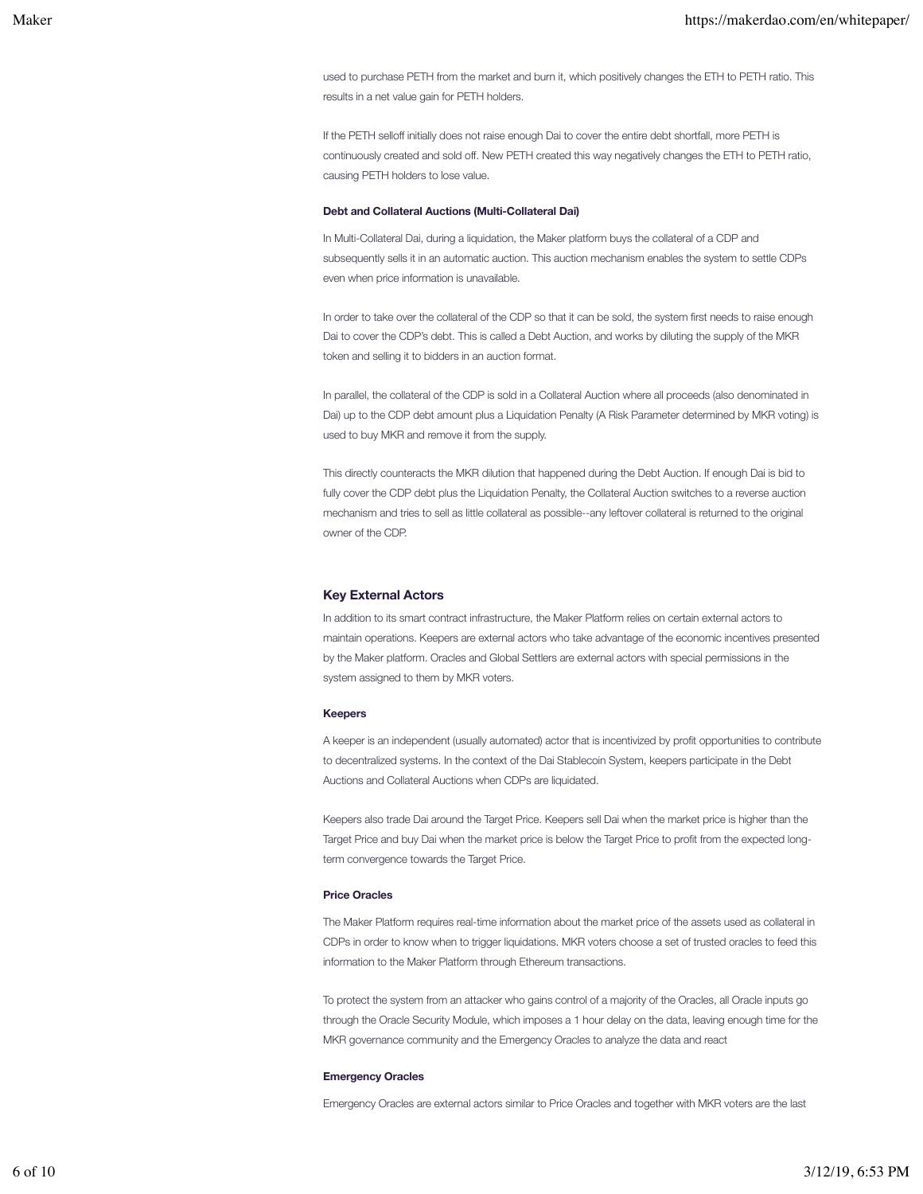used to purchase PETH from the market and burn it, which positively changes the ETH to PETH ratio. This results in a net value gain for PETH holders.

If the PETH selloff initially does not raise enough Dai to cover the entire debt shortfall, more PETH is continuously created and sold off. New PETH created this way negatively changes the ETH to PETH ratio, causing PETH holders to lose value.

#### **Debt and Collateral Auctions (Multi-Collateral Dai)**

In Multi-Collateral Dai, during a liquidation, the Maker platform buys the collateral of a CDP and subsequently sells it in an automatic auction. This auction mechanism enables the system to settle CDPs even when price information is unavailable.

In order to take over the collateral of the CDP so that it can be sold, the system first needs to raise enough Dai to cover the CDP's debt. This is called a Debt Auction, and works by diluting the supply of the MKR token and selling it to bidders in an auction format.

In parallel, the collateral of the CDP is sold in a Collateral Auction where all proceeds (also denominated in Dai) up to the CDP debt amount plus a Liquidation Penalty (A Risk Parameter determined by MKR voting) is used to buy MKR and remove it from the supply.

This directly counteracts the MKR dilution that happened during the Debt Auction. If enough Dai is bid to fully cover the CDP debt plus the Liquidation Penalty, the Collateral Auction switches to a reverse auction mechanism and tries to sell as little collateral as possible--any leftover collateral is returned to the original owner of the CDP.

## **Key External Actors**

In addition to its smart contract infrastructure, the Maker Platform relies on certain external actors to maintain operations. Keepers are external actors who take advantage of the economic incentives presented by the Maker platform. Oracles and Global Settlers are external actors with special permissions in the system assigned to them by MKR voters.

#### **Keepers**

A keeper is an independent (usually automated) actor that is incentivized by profit opportunities to contribute to decentralized systems. In the context of the Dai Stablecoin System, keepers participate in the Debt Auctions and Collateral Auctions when CDPs are liquidated.

Keepers also trade Dai around the Target Price. Keepers sell Dai when the market price is higher than the Target Price and buy Dai when the market price is below the Target Price to profit from the expected longterm convergence towards the Target Price.

## **Price Oracles**

The Maker Platform requires real-time information about the market price of the assets used as collateral in CDPs in order to know when to trigger liquidations. MKR voters choose a set of trusted oracles to feed this information to the Maker Platform through Ethereum transactions.

To protect the system from an attacker who gains control of a majority of the Oracles, all Oracle inputs go through the Oracle Security Module, which imposes a 1 hour delay on the data, leaving enough time for the MKR governance community and the Emergency Oracles to analyze the data and react

#### **Emergency Oracles**

Emergency Oracles are external actors similar to Price Oracles and together with MKR voters are the last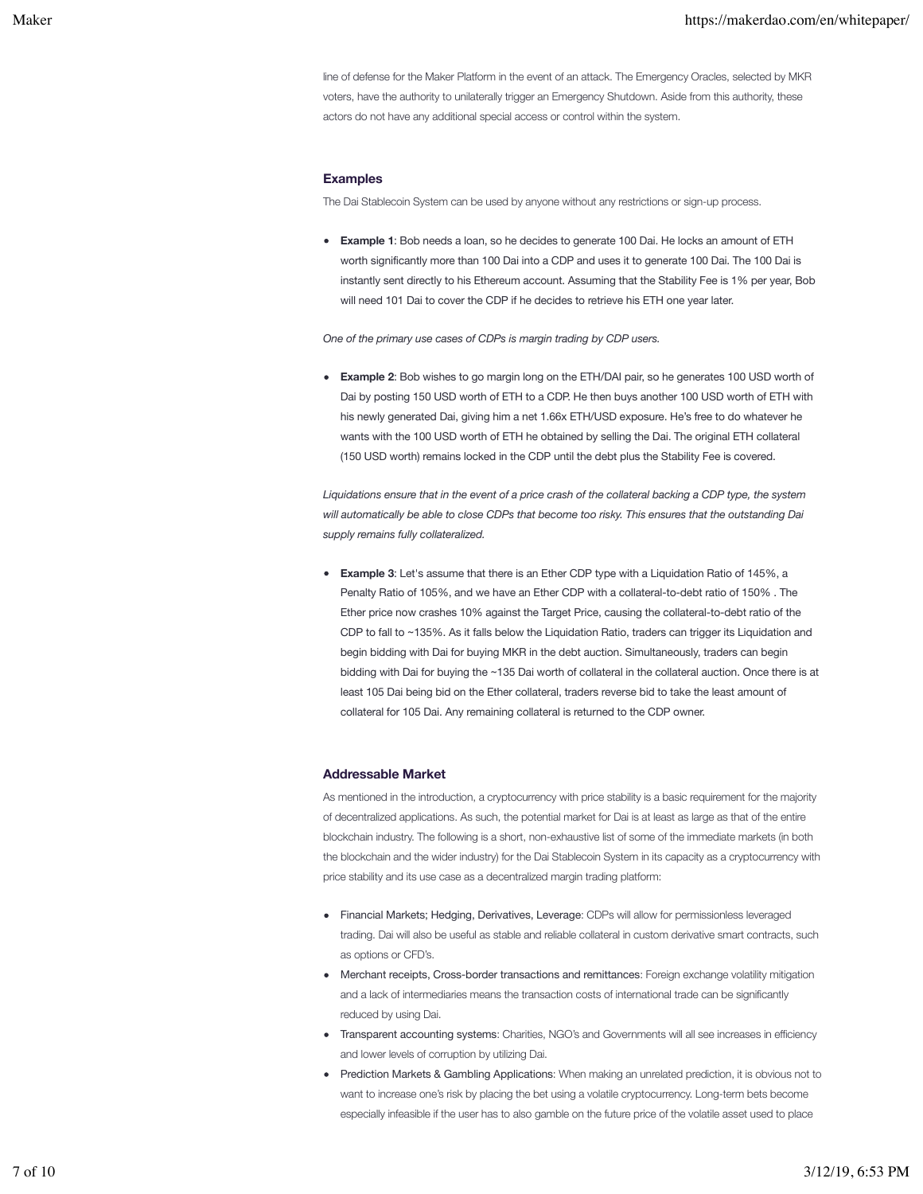line of defense for the Maker Platform in the event of an attack. The Emergency Oracles, selected by MKR voters, have the authority to unilaterally trigger an Emergency Shutdown. Aside from this authority, these actors do not have any additional special access or control within the system.

#### **Examples**

The Dai Stablecoin System can be used by anyone without any restrictions or sign-up process.

**Example 1**: Bob needs a loan, so he decides to generate 100 Dai. He locks an amount of ETH worth significantly more than 100 Dai into a CDP and uses it to generate 100 Dai. The 100 Dai is instantly sent directly to his Ethereum account. Assuming that the Stability Fee is 1% per year, Bob will need 101 Dai to cover the CDP if he decides to retrieve his ETH one year later.

*One of the primary use cases of CDPs is margin trading by CDP users.*

**Example 2**: Bob wishes to go margin long on the ETH/DAI pair, so he generates 100 USD worth of Dai by posting 150 USD worth of ETH to a CDP. He then buys another 100 USD worth of ETH with his newly generated Dai, giving him a net 1.66x ETH/USD exposure. He's free to do whatever he wants with the 100 USD worth of ETH he obtained by selling the Dai. The original ETH collateral (150 USD worth) remains locked in the CDP until the debt plus the Stability Fee is covered.

*Liquidations ensure that in the event of a price crash of the collateral backing a CDP type, the system will automatically be able to close CDPs that become too risky. This ensures that the outstanding Dai supply remains fully collateralized.*

**Example 3**: Let's assume that there is an Ether CDP type with a Liquidation Ratio of 145%, a Penalty Ratio of 105%, and we have an Ether CDP with a collateral-to-debt ratio of 150% . The Ether price now crashes 10% against the Target Price, causing the collateral-to-debt ratio of the CDP to fall to ~135%. As it falls below the Liquidation Ratio, traders can trigger its Liquidation and begin bidding with Dai for buying MKR in the debt auction. Simultaneously, traders can begin bidding with Dai for buying the ~135 Dai worth of collateral in the collateral auction. Once there is at least 105 Dai being bid on the Ether collateral, traders reverse bid to take the least amount of collateral for 105 Dai. Any remaining collateral is returned to the CDP owner.

#### **Addressable Market**

As mentioned in the introduction, a cryptocurrency with price stability is a basic requirement for the majority of decentralized applications. As such, the potential market for Dai is at least as large as that of the entire blockchain industry. The following is a short, non-exhaustive list of some of the immediate markets (in both the blockchain and the wider industry) for the Dai Stablecoin System in its capacity as a cryptocurrency with price stability and its use case as a decentralized margin trading platform:

- Financial Markets; Hedging, Derivatives, Leverage: CDPs will allow for permissionless leveraged trading. Dai will also be useful as stable and reliable collateral in custom derivative smart contracts, such as options or CFD's.
- Merchant receipts, Cross-border transactions and remittances: Foreign exchange volatility mitigation and a lack of intermediaries means the transaction costs of international trade can be significantly reduced by using Dai.
- Transparent accounting systems: Charities, NGO's and Governments will all see increases in efficiency and lower levels of corruption by utilizing Dai.
- Prediction Markets & Gambling Applications: When making an unrelated prediction, it is obvious not to want to increase one's risk by placing the bet using a volatile cryptocurrency. Long-term bets become especially infeasible if the user has to also gamble on the future price of the volatile asset used to place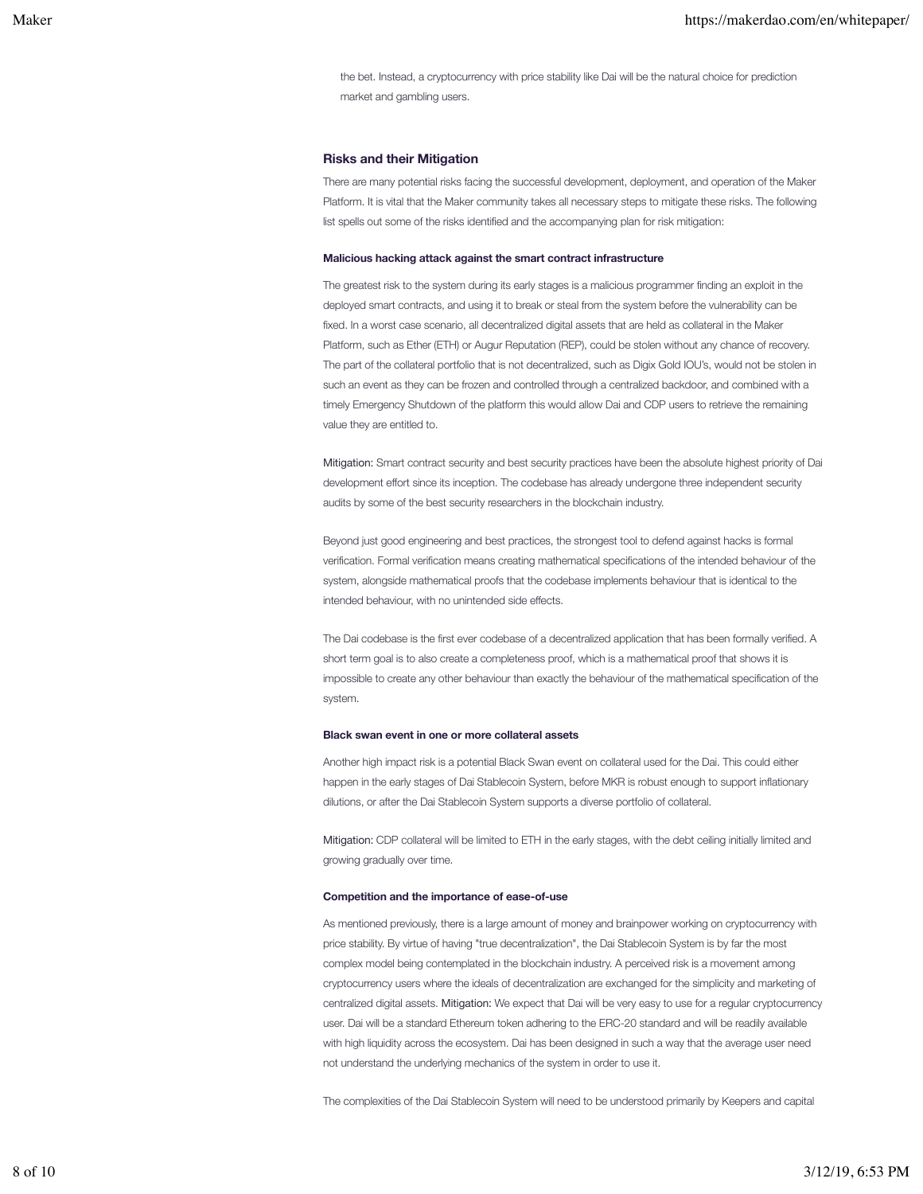the bet. Instead, a cryptocurrency with price stability like Dai will be the natural choice for prediction market and gambling users.

## **Risks and their Mitigation**

There are many potential risks facing the successful development, deployment, and operation of the Maker Platform. It is vital that the Maker community takes all necessary steps to mitigate these risks. The following list spells out some of the risks identified and the accompanying plan for risk mitigation:

## **Malicious hacking attack against the smart contract infrastructure**

The greatest risk to the system during its early stages is a malicious programmer finding an exploit in the deployed smart contracts, and using it to break or steal from the system before the vulnerability can be fixed. In a worst case scenario, all decentralized digital assets that are held as collateral in the Maker Platform, such as Ether (ETH) or Augur Reputation (REP), could be stolen without any chance of recovery. The part of the collateral portfolio that is not decentralized, such as Digix Gold IOU's, would not be stolen in such an event as they can be frozen and controlled through a centralized backdoor, and combined with a timely Emergency Shutdown of the platform this would allow Dai and CDP users to retrieve the remaining value they are entitled to.

Mitigation: Smart contract security and best security practices have been the absolute highest priority of Dai development effort since its inception. The codebase has already undergone three independent security audits by some of the best security researchers in the blockchain industry.

Beyond just good engineering and best practices, the strongest tool to defend against hacks is formal verification. Formal verification means creating mathematical specifications of the intended behaviour of the system, alongside mathematical proofs that the codebase implements behaviour that is identical to the intended behaviour, with no unintended side effects.

The Dai codebase is the first ever codebase of a decentralized application that has been formally verified. A short term goal is to also create a completeness proof, which is a mathematical proof that shows it is impossible to create any other behaviour than exactly the behaviour of the mathematical specification of the system.

#### **Black swan event in one or more collateral assets**

Another high impact risk is a potential Black Swan event on collateral used for the Dai. This could either happen in the early stages of Dai Stablecoin System, before MKR is robust enough to support inflationary dilutions, or after the Dai Stablecoin System supports a diverse portfolio of collateral.

Mitigation: CDP collateral will be limited to ETH in the early stages, with the debt ceiling initially limited and growing gradually over time.

## **Competition and the importance of ease-of-use**

As mentioned previously, there is a large amount of money and brainpower working on cryptocurrency with price stability. By virtue of having "true decentralization", the Dai Stablecoin System is by far the most complex model being contemplated in the blockchain industry. A perceived risk is a movement among cryptocurrency users where the ideals of decentralization are exchanged for the simplicity and marketing of centralized digital assets. Mitigation: We expect that Dai will be very easy to use for a regular cryptocurrency user. Dai will be a standard Ethereum token adhering to the ERC-20 standard and will be readily available with high liquidity across the ecosystem. Dai has been designed in such a way that the average user need not understand the underlying mechanics of the system in order to use it.

The complexities of the Dai Stablecoin System will need to be understood primarily by Keepers and capital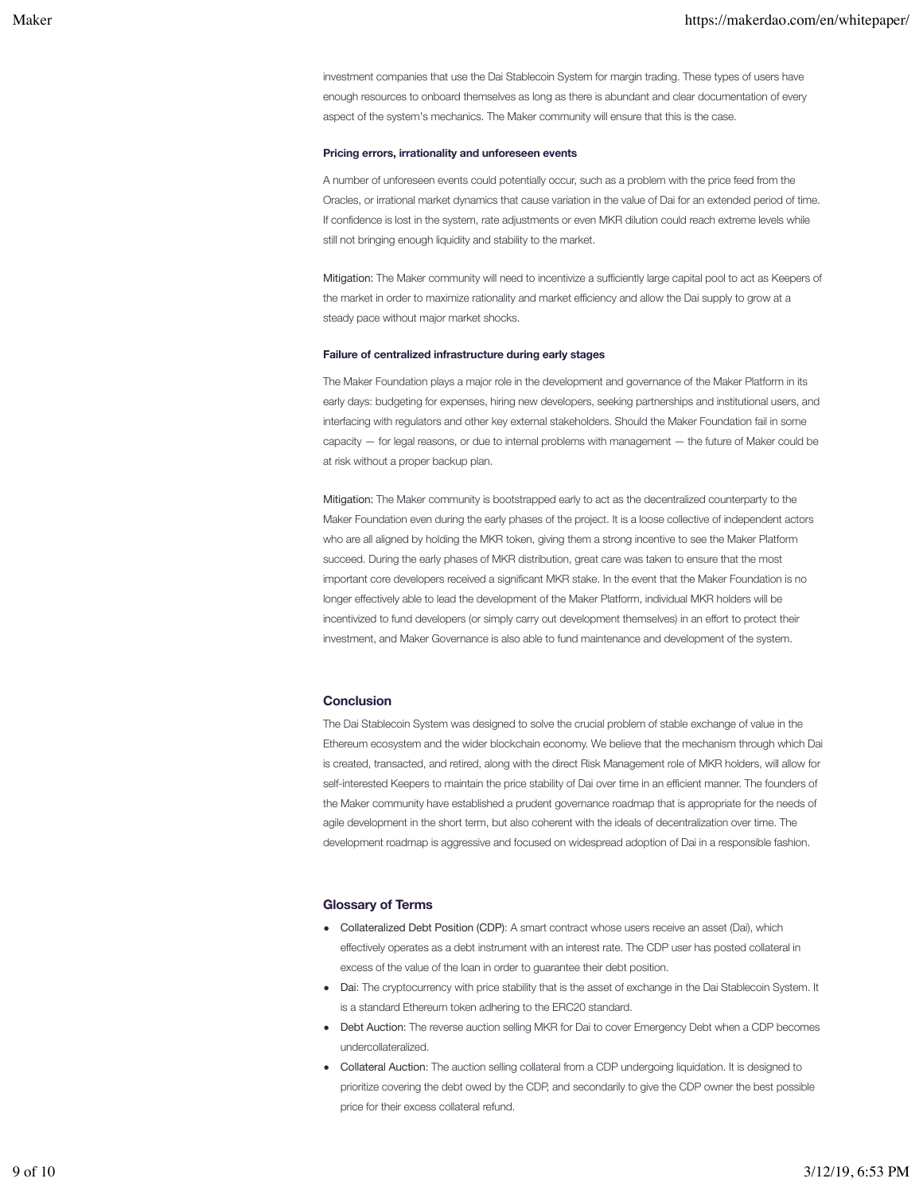investment companies that use the Dai Stablecoin System for margin trading. These types of users have enough resources to onboard themselves as long as there is abundant and clear documentation of every aspect of the system's mechanics. The Maker community will ensure that this is the case.

#### **Pricing errors, irrationality and unforeseen events**

A number of unforeseen events could potentially occur, such as a problem with the price feed from the Oracles, or irrational market dynamics that cause variation in the value of Dai for an extended period of time. If confidence is lost in the system, rate adjustments or even MKR dilution could reach extreme levels while still not bringing enough liquidity and stability to the market.

Mitigation: The Maker community will need to incentivize a sufficiently large capital pool to act as Keepers of the market in order to maximize rationality and market efficiency and allow the Dai supply to grow at a steady pace without major market shocks.

#### **Failure of centralized infrastructure during early stages**

The Maker Foundation plays a major role in the development and governance of the Maker Platform in its early days: budgeting for expenses, hiring new developers, seeking partnerships and institutional users, and interfacing with regulators and other key external stakeholders. Should the Maker Foundation fail in some capacity — for legal reasons, or due to internal problems with management — the future of Maker could be at risk without a proper backup plan.

Mitigation: The Maker community is bootstrapped early to act as the decentralized counterparty to the Maker Foundation even during the early phases of the project. It is a loose collective of independent actors who are all aligned by holding the MKR token, giving them a strong incentive to see the Maker Platform succeed. During the early phases of MKR distribution, great care was taken to ensure that the most important core developers received a significant MKR stake. In the event that the Maker Foundation is no longer effectively able to lead the development of the Maker Platform, individual MKR holders will be incentivized to fund developers (or simply carry out development themselves) in an effort to protect their investment, and Maker Governance is also able to fund maintenance and development of the system.

#### **Conclusion**

The Dai Stablecoin System was designed to solve the crucial problem of stable exchange of value in the Ethereum ecosystem and the wider blockchain economy. We believe that the mechanism through which Dai is created, transacted, and retired, along with the direct Risk Management role of MKR holders, will allow for self-interested Keepers to maintain the price stability of Dai over time in an efficient manner. The founders of the Maker community have established a prudent governance roadmap that is appropriate for the needs of agile development in the short term, but also coherent with the ideals of decentralization over time. The development roadmap is aggressive and focused on widespread adoption of Dai in a responsible fashion.

#### **Glossary of Terms**

- Collateralized Debt Position (CDP): A smart contract whose users receive an asset (Dai), which effectively operates as a debt instrument with an interest rate. The CDP user has posted collateral in excess of the value of the loan in order to guarantee their debt position.
- Dai: The cryptocurrency with price stability that is the asset of exchange in the Dai Stablecoin System. It is a standard Ethereum token adhering to the ERC20 standard.
- Debt Auction: The reverse auction selling MKR for Dai to cover Emergency Debt when a CDP becomes undercollateralized.
- Collateral Auction: The auction selling collateral from a CDP undergoing liquidation. It is designed to prioritize covering the debt owed by the CDP, and secondarily to give the CDP owner the best possible price for their excess collateral refund.